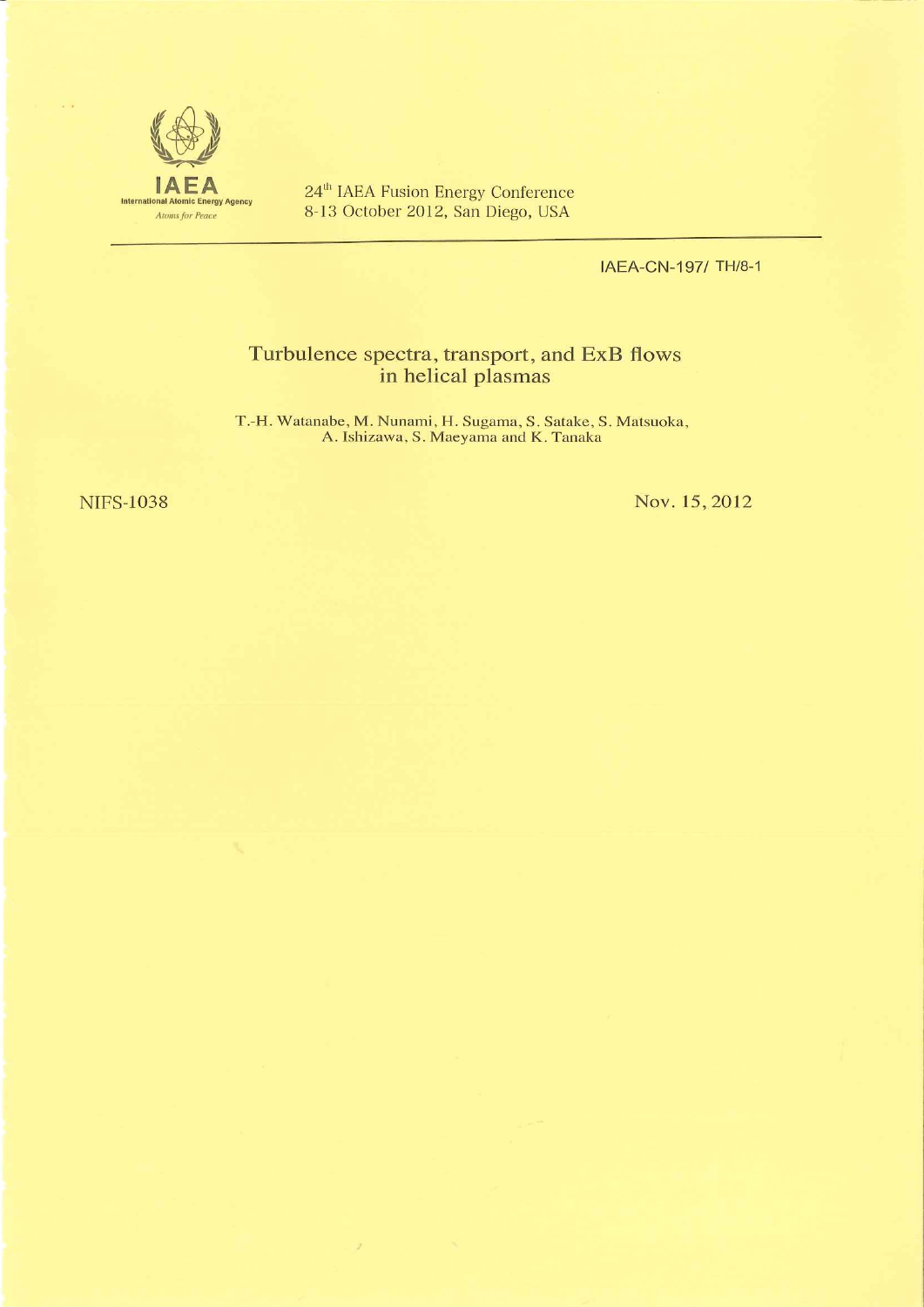

 $24^{\text{th}}$  IAEA Fusion Energy Conference<br>8-13 October 2012, San Diego, USA

IAEA-CN-197/ TH/8-1

# Turbulence spectra, transport, and ExB flows<br>in helical plasmas

T.-H. Watanabe, M. Nunami, H. Sugama, S. Satake, S. Matsuoka, A. Ishizawa, S. Maeyama and K. Tanaka

 $\mathcal{F}$ 

**NIFS-1038** 

Nov. 15, 2012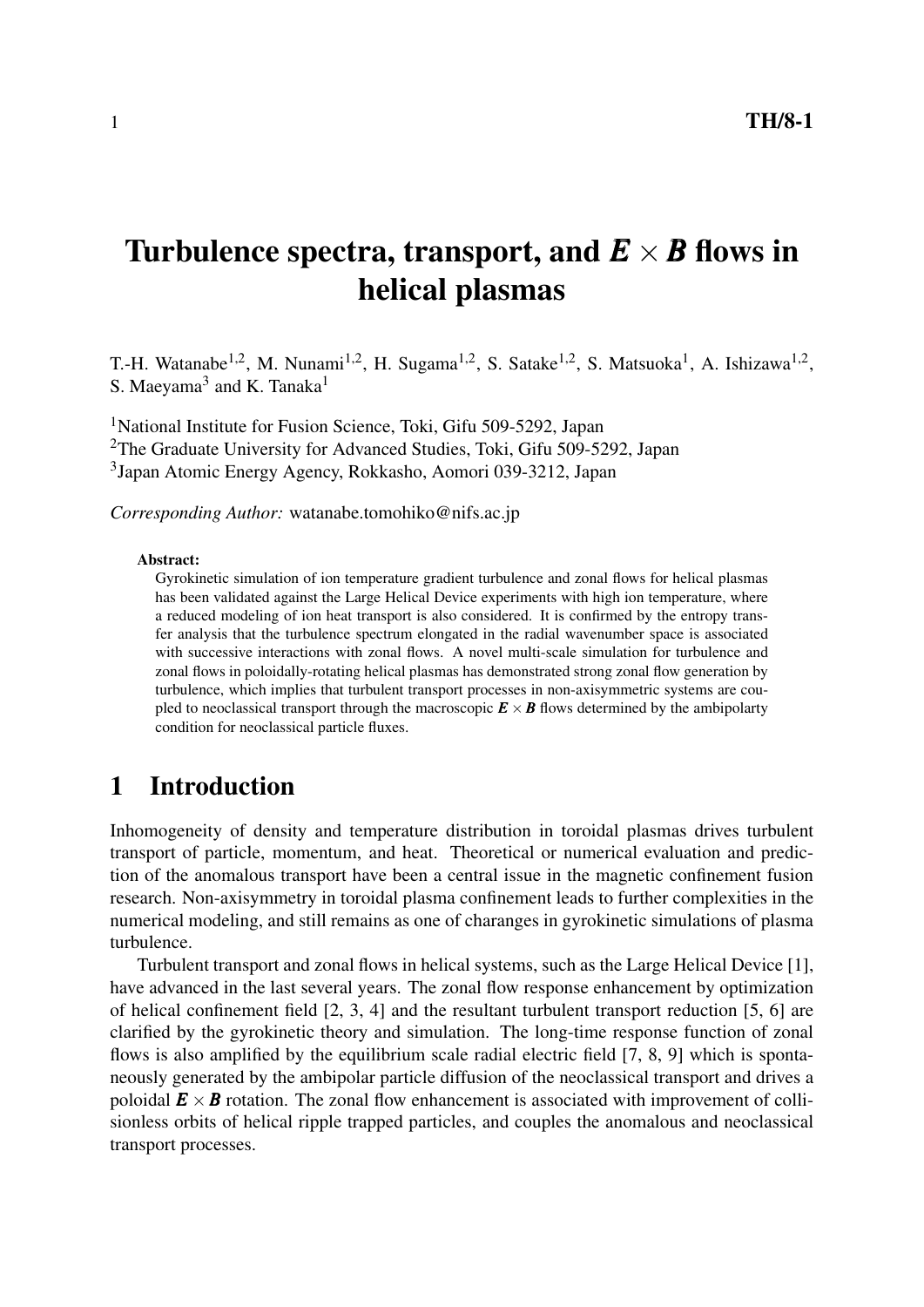# Turbulence spectra, transport, and  $E \times B$  flows in helical plasmas

T.-H. Watanabe<sup>1,2</sup>, M. Nunami<sup>1,2</sup>, H. Sugama<sup>1,2</sup>, S. Satake<sup>1,2</sup>, S. Matsuoka<sup>1</sup>, A. Ishizawa<sup>1,2</sup>, S. Maeyama<sup>3</sup> and K. Tanaka<sup>1</sup>

<sup>1</sup>National Institute for Fusion Science, Toki, Gifu 509-5292, Japan <sup>2</sup>The Graduate University for Advanced Studies, Toki, Gifu 509-5292, Japan 3 Japan Atomic Energy Agency, Rokkasho, Aomori 039-3212, Japan

*Corresponding Author:* watanabe.tomohiko@nifs.ac.jp

#### Abstract:

Gyrokinetic simulation of ion temperature gradient turbulence and zonal flows for helical plasmas has been validated against the Large Helical Device experiments with high ion temperature, where a reduced modeling of ion heat transport is also considered. It is confirmed by the entropy transfer analysis that the turbulence spectrum elongated in the radial wavenumber space is associated with successive interactions with zonal flows. A novel multi-scale simulation for turbulence and zonal flows in poloidally-rotating helical plasmas has demonstrated strong zonal flow generation by turbulence, which implies that turbulent transport processes in non-axisymmetric systems are coupled to neoclassical transport through the macroscopic  $\mathbf{E} \times \mathbf{B}$  flows determined by the ambipolarty condition for neoclassical particle fluxes.

### 1 Introduction

Inhomogeneity of density and temperature distribution in toroidal plasmas drives turbulent transport of particle, momentum, and heat. Theoretical or numerical evaluation and prediction of the anomalous transport have been a central issue in the magnetic confinement fusion research. Non-axisymmetry in toroidal plasma confinement leads to further complexities in the numerical modeling, and still remains as one of charanges in gyrokinetic simulations of plasma turbulence.

Turbulent transport and zonal flows in helical systems, such as the Large Helical Device [1], have advanced in the last several years. The zonal flow response enhancement by optimization of helical confinement field [2, 3, 4] and the resultant turbulent transport reduction [5, 6] are clarified by the gyrokinetic theory and simulation. The long-time response function of zonal flows is also amplified by the equilibrium scale radial electric field [7, 8, 9] which is spontaneously generated by the ambipolar particle diffusion of the neoclassical transport and drives a poloidal  $\mathbf{E} \times \mathbf{B}$  rotation. The zonal flow enhancement is associated with improvement of collisionless orbits of helical ripple trapped particles, and couples the anomalous and neoclassical transport processes.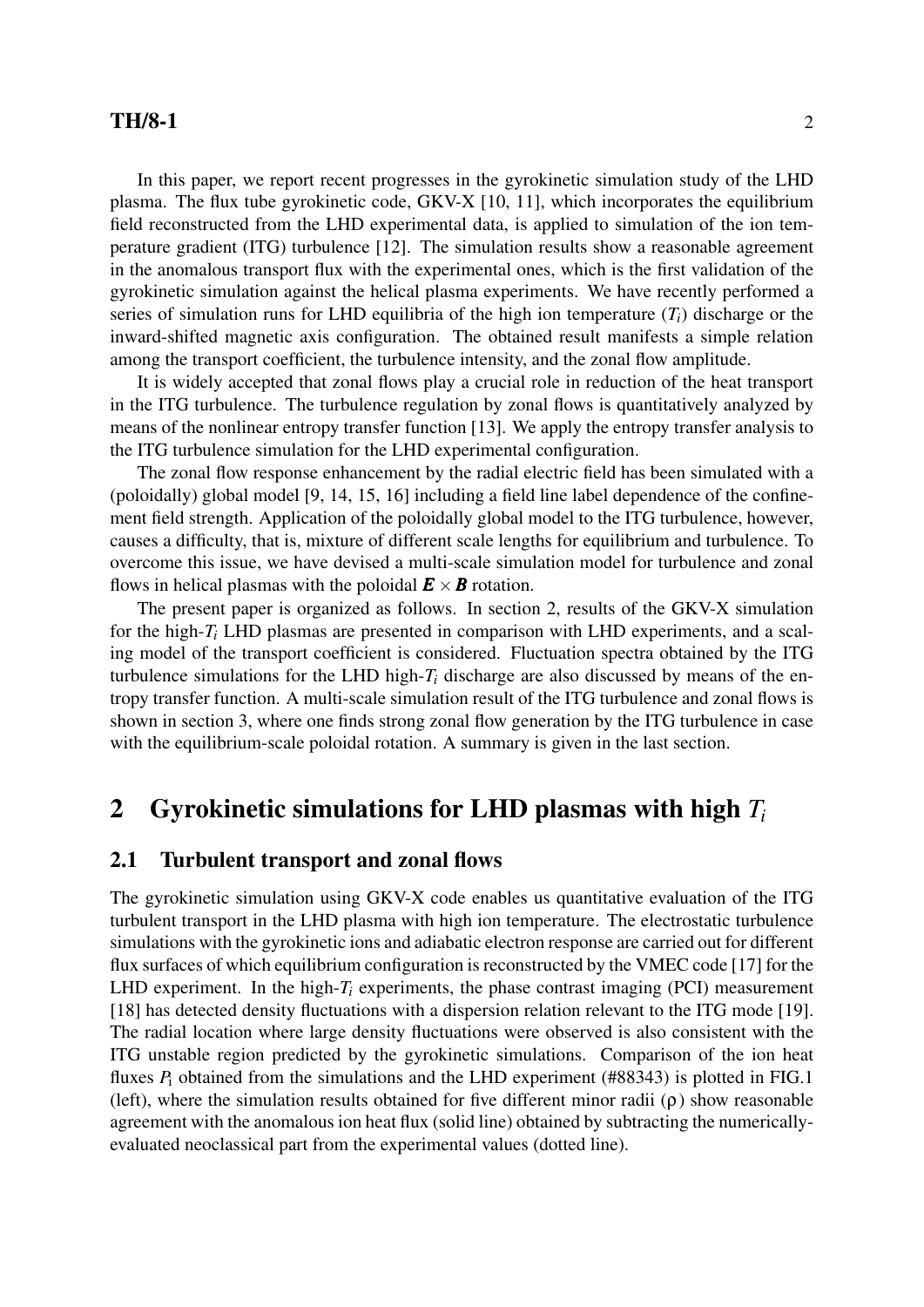#### **TH/8-1** 2

In this paper, we report recent progresses in the gyrokinetic simulation study of the LHD plasma. The flux tube gyrokinetic code, GKV-X [10, 11], which incorporates the equilibrium field reconstructed from the LHD experimental data, is applied to simulation of the ion temperature gradient (ITG) turbulence [12]. The simulation results show a reasonable agreement in the anomalous transport flux with the experimental ones, which is the first validation of the gyrokinetic simulation against the helical plasma experiments. We have recently performed a series of simulation runs for LHD equilibria of the high ion temperature  $(T_i)$  discharge or the inward-shifted magnetic axis configuration. The obtained result manifests a simple relation among the transport coefficient, the turbulence intensity, and the zonal flow amplitude.

It is widely accepted that zonal flows play a crucial role in reduction of the heat transport in the ITG turbulence. The turbulence regulation by zonal flows is quantitatively analyzed by means of the nonlinear entropy transfer function [13]. We apply the entropy transfer analysis to the ITG turbulence simulation for the LHD experimental configuration.

The zonal flow response enhancement by the radial electric field has been simulated with a (poloidally) global model [9, 14, 15, 16] including a field line label dependence of the confinement field strength. Application of the poloidally global model to the ITG turbulence, however, causes a difficulty, that is, mixture of different scale lengths for equilibrium and turbulence. To overcome this issue, we have devised a multi-scale simulation model for turbulence and zonal flows in helical plasmas with the poloidal  $\mathbf{E} \times \mathbf{B}$  rotation.

The present paper is organized as follows. In section 2, results of the GKV-X simulation for the high-*T<sup>i</sup>* LHD plasmas are presented in comparison with LHD experiments, and a scaling model of the transport coefficient is considered. Fluctuation spectra obtained by the ITG turbulence simulations for the LHD high-*T<sup>i</sup>* discharge are also discussed by means of the entropy transfer function. A multi-scale simulation result of the ITG turbulence and zonal flows is shown in section 3, where one finds strong zonal flow generation by the ITG turbulence in case with the equilibrium-scale poloidal rotation. A summary is given in the last section.

# 2 Gyrokinetic simulations for LHD plasmas with high *T<sup>i</sup>*

#### 2.1 Turbulent transport and zonal flows

The gyrokinetic simulation using GKV-X code enables us quantitative evaluation of the ITG turbulent transport in the LHD plasma with high ion temperature. The electrostatic turbulence simulations with the gyrokinetic ions and adiabatic electron response are carried out for different flux surfaces of which equilibrium configuration is reconstructed by the VMEC code [17] for the LHD experiment. In the high- $T_i$  experiments, the phase contrast imaging (PCI) measurement [18] has detected density fluctuations with a dispersion relation relevant to the ITG mode [19]. The radial location where large density fluctuations were observed is also consistent with the ITG unstable region predicted by the gyrokinetic simulations. Comparison of the ion heat fluxes  $P_i$  obtained from the simulations and the LHD experiment (#88343) is plotted in FIG.1 (left), where the simulation results obtained for five different minor radii (ρ) show reasonable agreement with the anomalous ion heat flux (solid line) obtained by subtracting the numericallyevaluated neoclassical part from the experimental values (dotted line).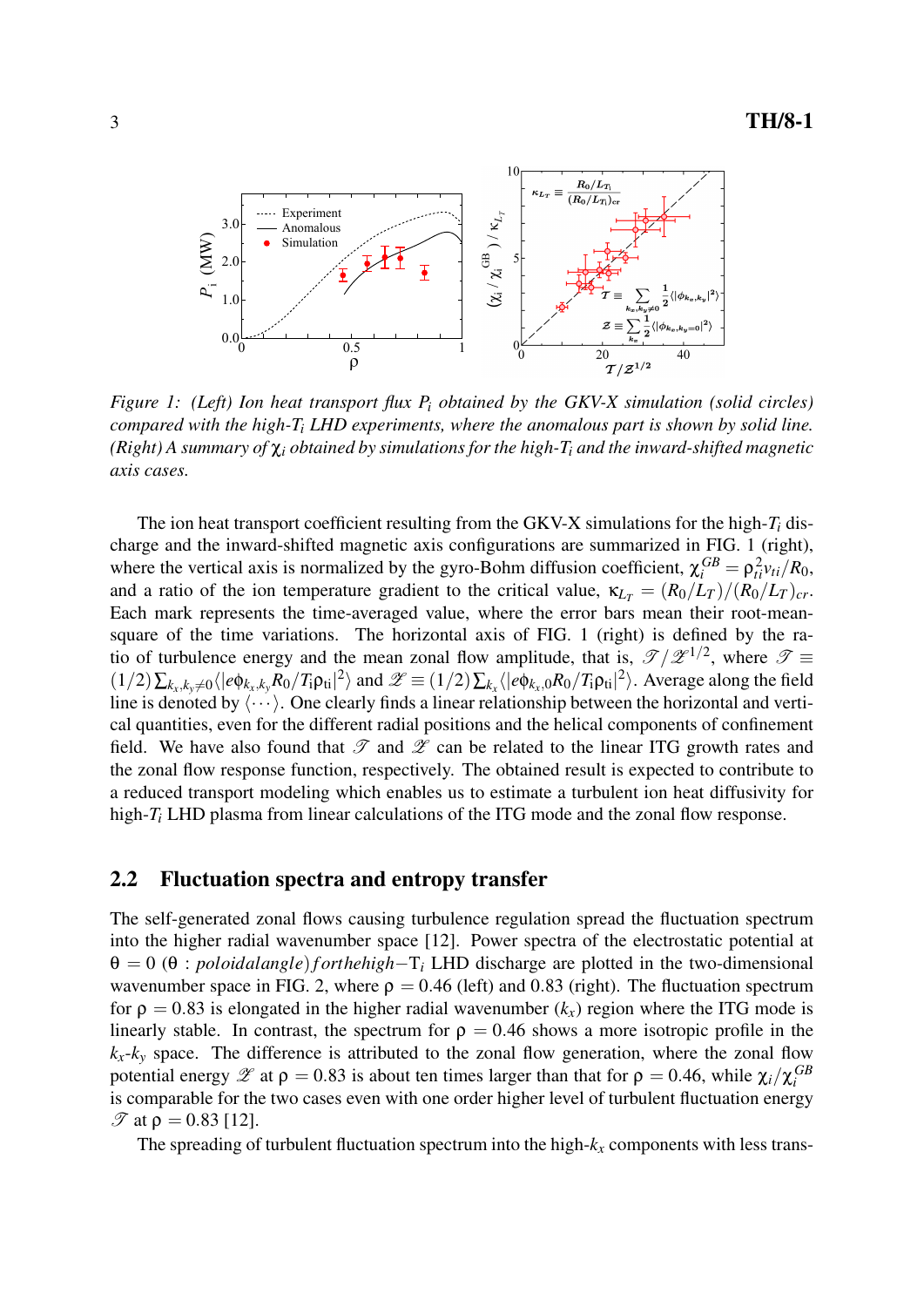

*Figure 1: (Left) Ion heat transport flux P<sup>i</sup> obtained by the GKV-X simulation (solid circles) compared with the high-T<sup>i</sup> LHD experiments, where the anomalous part is shown by solid line. (Right) A summary of* χ*<sup>i</sup> obtained by simulations for the high-T<sup>i</sup> and the inward-shifted magnetic axis cases.*

The ion heat transport coefficient resulting from the GKV-X simulations for the high-*T<sup>i</sup>* discharge and the inward-shifted magnetic axis configurations are summarized in FIG. 1 (right), where the vertical axis is normalized by the gyro-Bohm diffusion coefficient,  $\chi_i^{GB} = \rho_{ti}^2 v_{ti}/R_0$ , and a ratio of the ion temperature gradient to the critical value,  $\kappa_{LT} = (R_0/L_T)/(R_0/L_T)_{cr}$ . Each mark represents the time-averaged value, where the error bars mean their root-meansquare of the time variations. The horizontal axis of FIG. 1 (right) is defined by the ratio of turbulence energy and the mean zonal flow amplitude, that is,  $\mathscr{T}/\mathscr{Z}^{1/2}$ , where  $\mathscr{T} \equiv$  $(1/2)\sum_{k_x,k_y\neq 0} \langle |e\phi_{k_x,k_y}R_0/T_i\rho_{ti}|^2 \rangle$  and  $\mathscr{Z} \equiv (1/2)\sum_{k_x} \langle |e\phi_{k_x,0}R_0/T_i\rho_{ti}|^2 \rangle$ . Average along the field line is denoted by  $\langle \cdots \rangle$ . One clearly finds a linear relationship between the horizontal and vertical quantities, even for the different radial positions and the helical components of confinement field. We have also found that  $\mathscr T$  and  $\mathscr Z$  can be related to the linear ITG growth rates and the zonal flow response function, respectively. The obtained result is expected to contribute to a reduced transport modeling which enables us to estimate a turbulent ion heat diffusivity for high-*T<sub>i</sub>* LHD plasma from linear calculations of the ITG mode and the zonal flow response.

#### 2.2 Fluctuation spectra and entropy transfer

The self-generated zonal flows causing turbulence regulation spread the fluctuation spectrum into the higher radial wavenumber space [12]. Power spectra of the electrostatic potential at θ = 0 (θ : *poloidalangle*)*f orthehigh−*T*<sup>i</sup>* LHD discharge are plotted in the two-dimensional wavenumber space in FIG. 2, where  $\rho = 0.46$  (left) and 0.83 (right). The fluctuation spectrum for  $\rho = 0.83$  is elongated in the higher radial wavenumber  $(k_x)$  region where the ITG mode is linearly stable. In contrast, the spectrum for  $\rho = 0.46$  shows a more isotropic profile in the  $k_x - k_y$  space. The difference is attributed to the zonal flow generation, where the zonal flow potential energy  $\mathscr{Z}$  at  $\rho = 0.83$  is about ten times larger than that for  $\rho = 0.46$ , while  $\chi_i/\chi_i^{GB}$ is comparable for the two cases even with one order higher level of turbulent fluctuation energy  $\mathcal{T}$  at ρ = 0.83 [12].

The spreading of turbulent fluctuation spectrum into the high-*k<sup>x</sup>* components with less trans-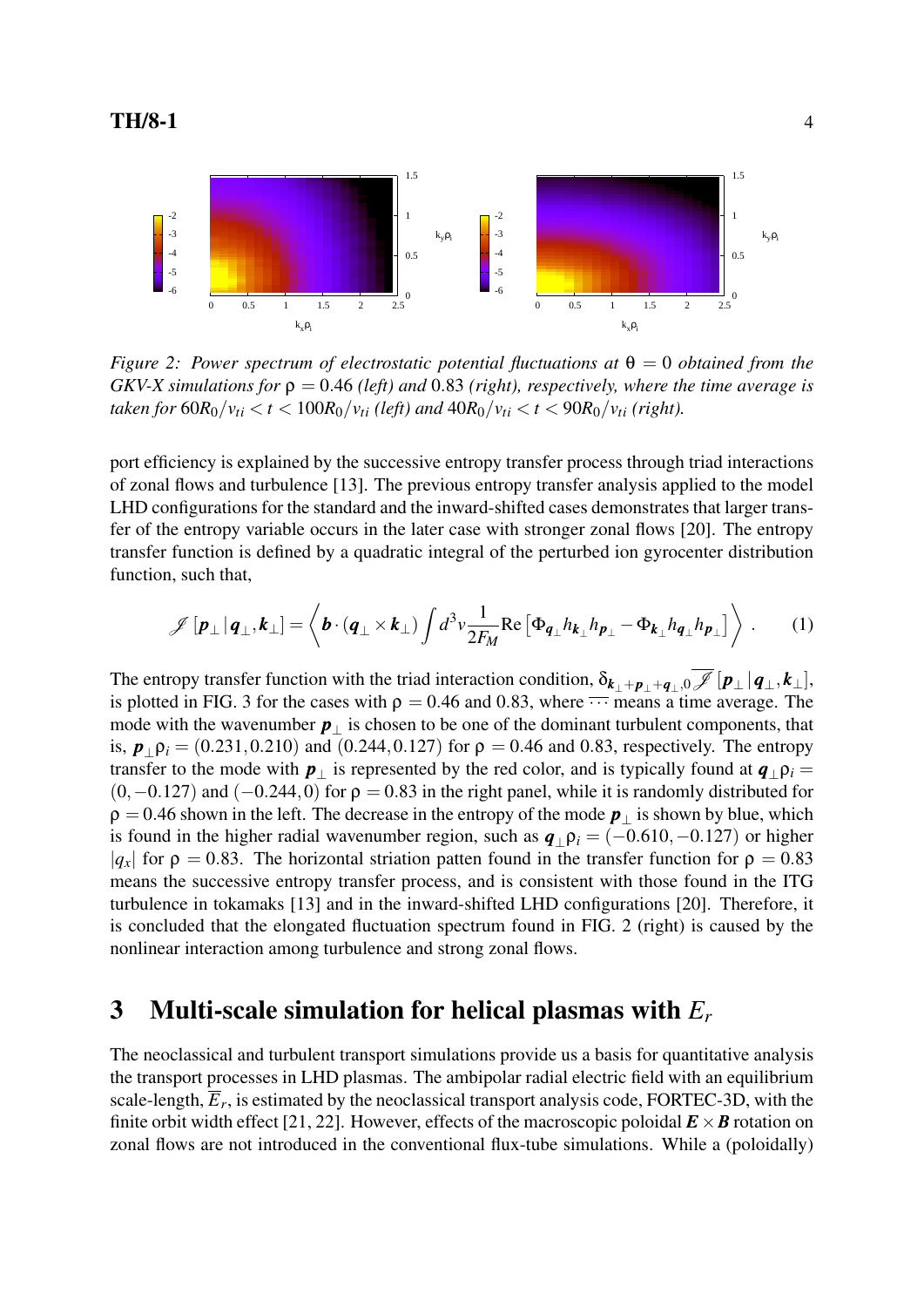

*Figure 2: Power spectrum of electrostatic potential fluctuations at*  $\theta = 0$  *obtained from the GKV-X simulations for* ρ = 0*.*46 *(left) and* 0*.*83 *(right), respectively, where the time average is* taken for  $60R_0/v_{ti} < t < 100R_0/v_{ti}$  (left) and  $40R_0/v_{ti} < t < 90R_0/v_{ti}$  (right).

port efficiency is explained by the successive entropy transfer process through triad interactions of zonal flows and turbulence [13]. The previous entropy transfer analysis applied to the model LHD configurations for the standard and the inward-shifted cases demonstrates that larger transfer of the entropy variable occurs in the later case with stronger zonal flows [20]. The entropy transfer function is defined by a quadratic integral of the perturbed ion gyrocenter distribution function, such that,

$$
\mathscr{J}\left[\mathbf{p}_{\perp}|\mathbf{q}_{\perp},\mathbf{k}_{\perp}\right] = \left\langle \mathbf{b} \cdot (\mathbf{q}_{\perp} \times \mathbf{k}_{\perp}) \int d^{3}v \frac{1}{2F_{M}} \text{Re}\left[\Phi_{\mathbf{q}_{\perp}} h_{\mathbf{k}_{\perp}} h_{\mathbf{p}_{\perp}} - \Phi_{\mathbf{k}_{\perp}} h_{\mathbf{q}_{\perp}} h_{\mathbf{p}_{\perp}}\right] \right\rangle. \tag{1}
$$

The entropy transfer function with the triad interaction condition,  $\delta_{\mathbf{k}_\perp + \mathbf{p}_\perp + \mathbf{q}_\perp, 0}$   $\mathcal{J}[\mathbf{p}_\perp | \mathbf{q}_\perp, \mathbf{k}_\perp]$ , is plotted in FIG. 3 for the cases with  $\rho = 0.46$  and 0.83, where  $\overline{\cdots}$  means a time average. The mode with the wavenumber  $p_1$  is chosen to be one of the dominant turbulent components, that is,  $p_{\perp}$  $\rho_i = (0.231, 0.210)$  and  $(0.244, 0.127)$  for  $\rho = 0.46$  and 0.83, respectively. The entropy transfer to the mode with  $p_\perp$  is represented by the red color, and is typically found at  $q_\perp p_i =$ (0*,−*0*.*127) and (*−*0*.*244*,*0) for ρ = 0*.*83 in the right panel, while it is randomly distributed for  $\rho = 0.46$  shown in the left. The decrease in the entropy of the mode  $p_1$  is shown by blue, which is found in the higher radial wavenumber region, such as  $q_1 p_i = (-0.610, -0.127)$  or higher *|* $q_x$ | for  $p = 0.83$ . The horizontal striation patten found in the transfer function for  $p = 0.83$ means the successive entropy transfer process, and is consistent with those found in the ITG turbulence in tokamaks [13] and in the inward-shifted LHD configurations [20]. Therefore, it is concluded that the elongated fluctuation spectrum found in FIG. 2 (right) is caused by the nonlinear interaction among turbulence and strong zonal flows.

# 3 Multi-scale simulation for helical plasmas with *E<sup>r</sup>*

The neoclassical and turbulent transport simulations provide us a basis for quantitative analysis the transport processes in LHD plasmas. The ambipolar radial electric field with an equilibrium scale-length,  $\overline{E}_r$ , is estimated by the neoclassical transport analysis code, FORTEC-3D, with the finite orbit width effect [21, 22]. However, effects of the macroscopic poloidal  $\mathbf{E} \times \mathbf{B}$  rotation on zonal flows are not introduced in the conventional flux-tube simulations. While a (poloidally)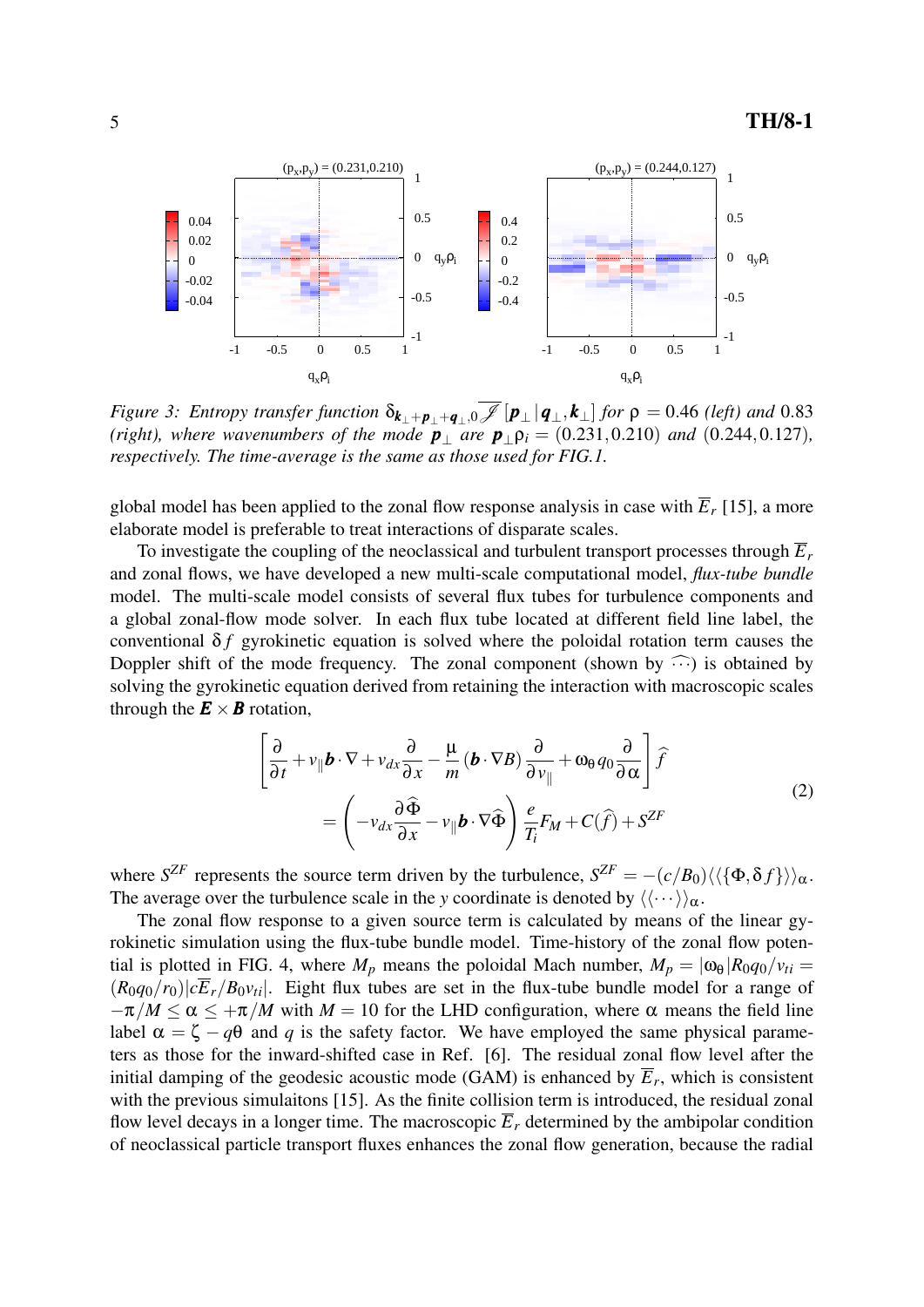

Figure 3: Entropy transfer function  $\delta_{\bm{k}_\perp+\bm{p}_\perp+\bm{q}_\perp,0}$   $\mathscr{J}[\bm{p}_\perp|\bm{q}_\perp,\bm{k}_\perp]$  for  $\rho = 0.46$  (left) and 0.83 *(right), where wavenumbers of the mode*  $p_{\perp}$  *<i>are*  $p_{\perp}p_i = (0.231, 0.210)$  *and*  $(0.244, 0.127)$ *, respectively. The time-average is the same as those used for FIG.1.*

global model has been applied to the zonal flow response analysis in case with  $\overline{E}_r$  [15], a more elaborate model is preferable to treat interactions of disparate scales.

To investigate the coupling of the neoclassical and turbulent transport processes through  $\overline{E}_r$ and zonal flows, we have developed a new multi-scale computational model, *flux-tube bundle* model. The multi-scale model consists of several flux tubes for turbulence components and a global zonal-flow mode solver. In each flux tube located at different field line label, the conventional  $\delta f$  gyrokinetic equation is solved where the poloidal rotation term causes the Doppler shift of the mode frequency. The zonal component (shown by  $\widehat{\cdots}$ ) is obtained by solving the gyrokinetic equation derived from retaining the interaction with macroscopic scales through the  $\mathbf{E} \times \mathbf{B}$  rotation,

$$
\left[\frac{\partial}{\partial t} + v_{\parallel} \boldsymbol{b} \cdot \nabla + v_{dx} \frac{\partial}{\partial x} - \frac{\mu}{m} (\boldsymbol{b} \cdot \nabla B) \frac{\partial}{\partial v_{\parallel}} + \omega_{\theta} q_{0} \frac{\partial}{\partial \alpha} \right] \hat{f}
$$
\n
$$
= \left( -v_{dx} \frac{\partial \hat{\Phi}}{\partial x} - v_{\parallel} \boldsymbol{b} \cdot \nabla \hat{\Phi} \right) \frac{e}{T_{i}} F_{M} + C(\hat{f}) + S^{ZF}
$$
\n(2)

where *S*<sup>ZF</sup> represents the source term driven by the turbulence,  $S^{ZF} = -(c/B_0)\langle \langle \{\Phi, \delta f\} \rangle \rangle_{\alpha}$ . The average over the turbulence scale in the *y* coordinate is denoted by  $\langle \langle \cdots \rangle \rangle_{\alpha}$ .

The zonal flow response to a given source term is calculated by means of the linear gyrokinetic simulation using the flux-tube bundle model. Time-history of the zonal flow potential is plotted in FIG. 4, where  $M_p$  means the poloidal Mach number,  $M_p = |\omega_\theta| R_0 q_0 / v_{ti}$  $(R_0q_0/r_0)|c\overline{E}_r/B_0v_{ti}|$ . Eight flux tubes are set in the flux-tube bundle model for a range of  $-\pi/M < \alpha < +\pi/M$  with  $M = 10$  for the LHD configuration, where  $\alpha$  means the field line label  $\alpha = \zeta - q\theta$  and *q* is the safety factor. We have employed the same physical parameters as those for the inward-shifted case in Ref. [6]. The residual zonal flow level after the initial damping of the geodesic acoustic mode (GAM) is enhanced by  $E_r$ , which is consistent with the previous simulaitons [15]. As the finite collision term is introduced, the residual zonal flow level decays in a longer time. The macroscopic  $\overline{E}_r$  determined by the ambipolar condition of neoclassical particle transport fluxes enhances the zonal flow generation, because the radial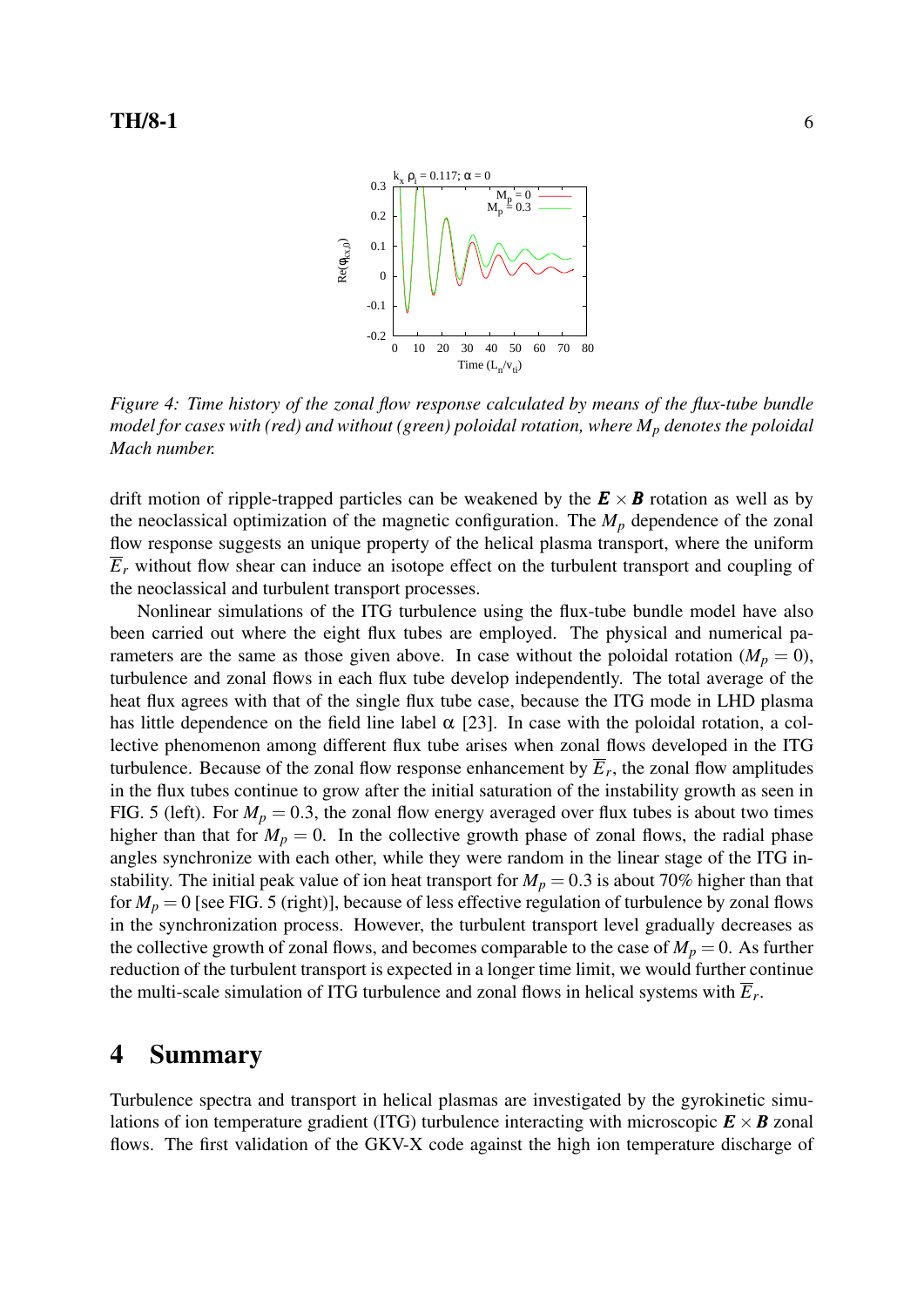

*Figure 4: Time history of the zonal flow response calculated by means of the flux-tube bundle model for cases with (red) and without (green) poloidal rotation, where M<sup>p</sup> denotes the poloidal Mach number.*

drift motion of ripple-trapped particles can be weakened by the  $E \times B$  rotation as well as by the neoclassical optimization of the magnetic configuration. The  $M_p$  dependence of the zonal flow response suggests an unique property of the helical plasma transport, where the uniform  $\overline{E}_r$  without flow shear can induce an isotope effect on the turbulent transport and coupling of the neoclassical and turbulent transport processes.

Nonlinear simulations of the ITG turbulence using the flux-tube bundle model have also been carried out where the eight flux tubes are employed. The physical and numerical parameters are the same as those given above. In case without the poloidal rotation ( $M_p = 0$ ), turbulence and zonal flows in each flux tube develop independently. The total average of the heat flux agrees with that of the single flux tube case, because the ITG mode in LHD plasma has little dependence on the field line label  $\alpha$  [23]. In case with the poloidal rotation, a collective phenomenon among different flux tube arises when zonal flows developed in the ITG turbulence. Because of the zonal flow response enhancement by  $\overline{E}_r$ , the zonal flow amplitudes in the flux tubes continue to grow after the initial saturation of the instability growth as seen in FIG. 5 (left). For  $M_p = 0.3$ , the zonal flow energy averaged over flux tubes is about two times higher than that for  $M_p = 0$ . In the collective growth phase of zonal flows, the radial phase angles synchronize with each other, while they were random in the linear stage of the ITG instability. The initial peak value of ion heat transport for  $M_p = 0.3$  is about 70% higher than that for  $M_p = 0$  [see FIG. 5 (right)], because of less effective regulation of turbulence by zonal flows in the synchronization process. However, the turbulent transport level gradually decreases as the collective growth of zonal flows, and becomes comparable to the case of  $M_p = 0$ . As further reduction of the turbulent transport is expected in a longer time limit, we would further continue the multi-scale simulation of ITG turbulence and zonal flows in helical systems with *E<sup>r</sup>* .

## 4 Summary

Turbulence spectra and transport in helical plasmas are investigated by the gyrokinetic simulations of ion temperature gradient (ITG) turbulence interacting with microscopic  $\mathbf{E} \times \mathbf{B}$  zonal flows. The first validation of the GKV-X code against the high ion temperature discharge of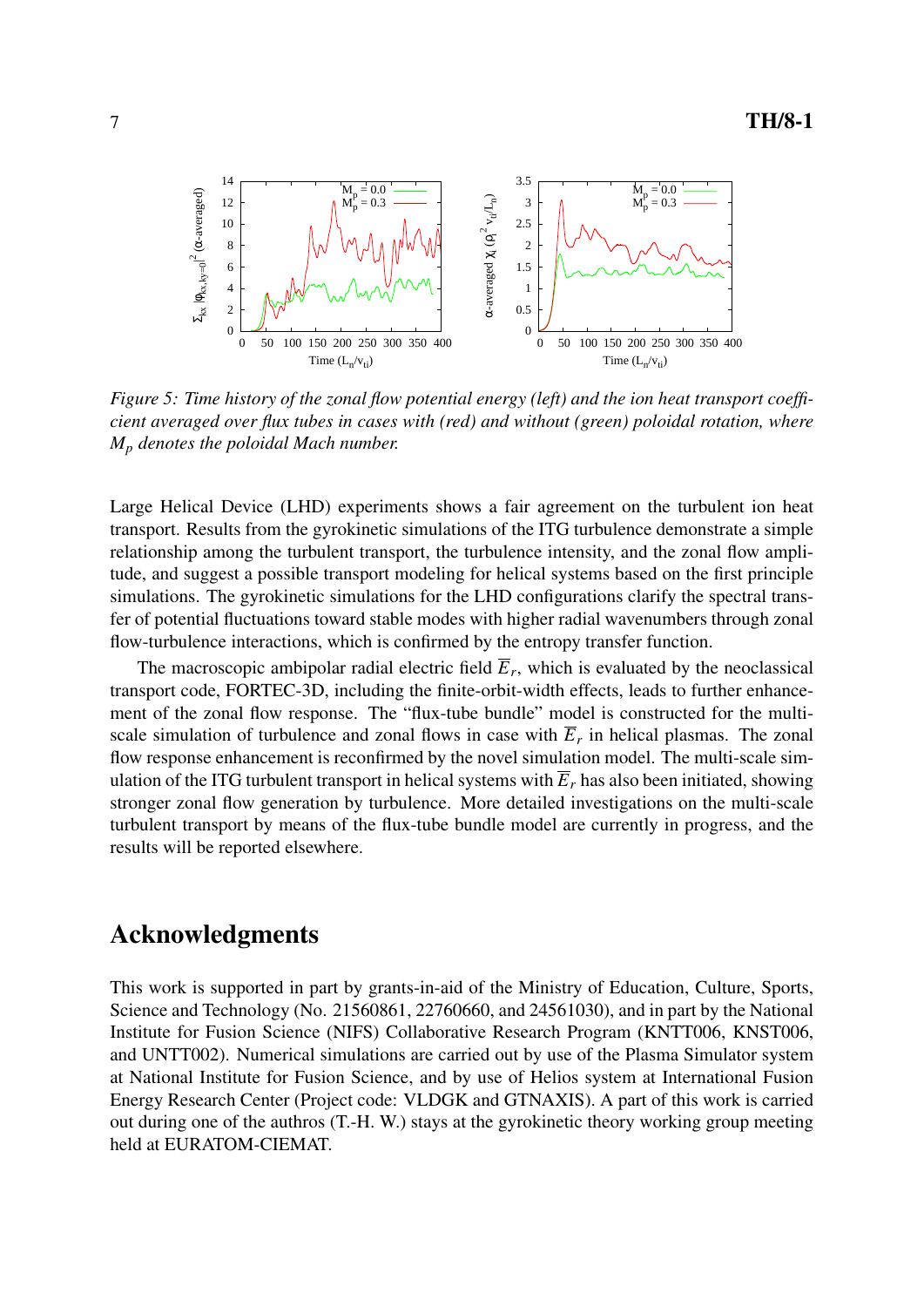

*Figure 5: Time history of the zonal flow potential energy (left) and the ion heat transport coefficient averaged over flux tubes in cases with (red) and without (green) poloidal rotation, where M<sup>p</sup> denotes the poloidal Mach number.*

Large Helical Device (LHD) experiments shows a fair agreement on the turbulent ion heat transport. Results from the gyrokinetic simulations of the ITG turbulence demonstrate a simple relationship among the turbulent transport, the turbulence intensity, and the zonal flow amplitude, and suggest a possible transport modeling for helical systems based on the first principle simulations. The gyrokinetic simulations for the LHD configurations clarify the spectral transfer of potential fluctuations toward stable modes with higher radial wavenumbers through zonal flow-turbulence interactions, which is confirmed by the entropy transfer function.

The macroscopic ambipolar radial electric field  $\overline{E}_r$ , which is evaluated by the neoclassical transport code, FORTEC-3D, including the finite-orbit-width effects, leads to further enhancement of the zonal flow response. The "flux-tube bundle" model is constructed for the multiscale simulation of turbulence and zonal flows in case with  $\overline{E}_r$  in helical plasmas. The zonal flow response enhancement is reconfirmed by the novel simulation model. The multi-scale simulation of the ITG turbulent transport in helical systems with  $\overline{E}_r$  has also been initiated, showing stronger zonal flow generation by turbulence. More detailed investigations on the multi-scale turbulent transport by means of the flux-tube bundle model are currently in progress, and the results will be reported elsewhere.

# Acknowledgments

This work is supported in part by grants-in-aid of the Ministry of Education, Culture, Sports, Science and Technology (No. 21560861, 22760660, and 24561030), and in part by the National Institute for Fusion Science (NIFS) Collaborative Research Program (KNTT006, KNST006, and UNTT002). Numerical simulations are carried out by use of the Plasma Simulator system at National Institute for Fusion Science, and by use of Helios system at International Fusion Energy Research Center (Project code: VLDGK and GTNAXIS). A part of this work is carried out during one of the authros (T.-H. W.) stays at the gyrokinetic theory working group meeting held at EURATOM-CIEMAT.